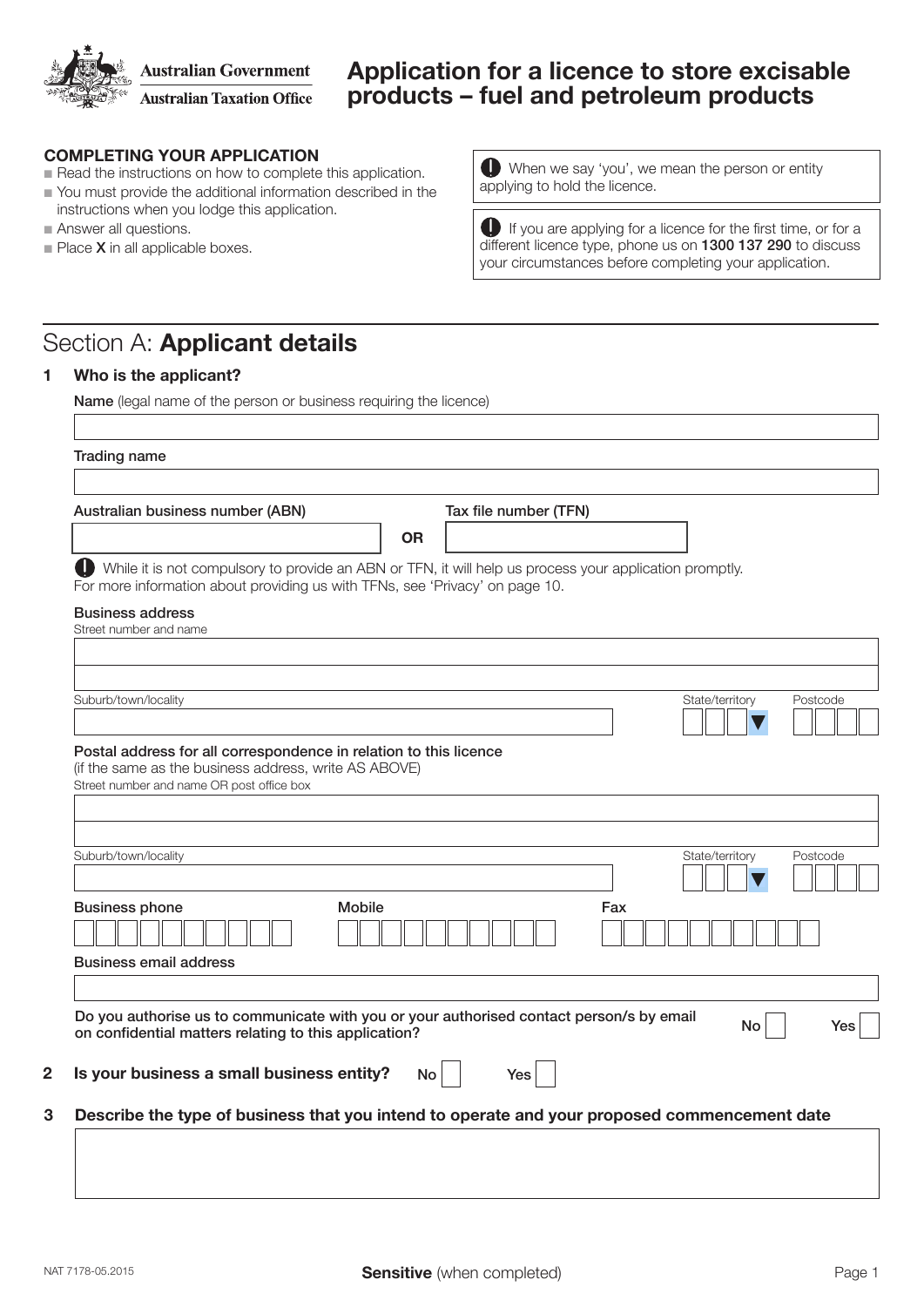**Australian Government Australian Taxation Office** 

## Application for a licence to store excisable products – fuel and petroleum products

## COMPLETING YOUR APPLICATION

- $\blacksquare$  Read the instructions on how to complete this application.
- $\blacksquare$  You must provide the additional information described in the instructions when you lodge this application.
- Answer all questions.
- $\blacksquare$  Place **X** in all applicable boxes.

When we say 'you', we mean the person or entity applying to hold the licence.

If you are applying for a licence for the first time, or for a different licence type, phone us on 1300 137 290 to discuss your circumstances before completing your application.

# Section A: Applicant details

#### 1 Who is the applicant?

Name (legal name of the person or business requiring the licence)

| Australian business number (ABN)                                                                                                                                                             |               | Tax file number (TFN) |     |                 |          |
|----------------------------------------------------------------------------------------------------------------------------------------------------------------------------------------------|---------------|-----------------------|-----|-----------------|----------|
|                                                                                                                                                                                              | <b>OR</b>     |                       |     |                 |          |
| D<br>While it is not compulsory to provide an ABN or TFN, it will help us process your application promptly.<br>For more information about providing us with TFNs, see 'Privacy' on page 10. |               |                       |     |                 |          |
| <b>Business address</b>                                                                                                                                                                      |               |                       |     |                 |          |
| Street number and name                                                                                                                                                                       |               |                       |     |                 |          |
|                                                                                                                                                                                              |               |                       |     |                 |          |
| Suburb/town/locality                                                                                                                                                                         |               |                       |     | State/territory | Postcode |
|                                                                                                                                                                                              |               |                       |     |                 |          |
| Postal address for all correspondence in relation to this licence<br>(if the same as the business address, write AS ABOVE)<br>Street number and name OR post office box                      |               |                       |     |                 |          |
|                                                                                                                                                                                              |               |                       |     |                 |          |
| Suburb/town/locality                                                                                                                                                                         |               |                       |     | State/territory |          |
|                                                                                                                                                                                              |               |                       |     |                 |          |
| <b>Business phone</b>                                                                                                                                                                        | <b>Mobile</b> |                       | Fax |                 |          |
| <b>Business email address</b>                                                                                                                                                                |               |                       |     |                 | Postcode |
|                                                                                                                                                                                              |               |                       |     |                 |          |
| Do you authorise us to communicate with you or your authorised contact person/s by email<br>on confidential matters relating to this application?                                            |               |                       |     | No              | Yes      |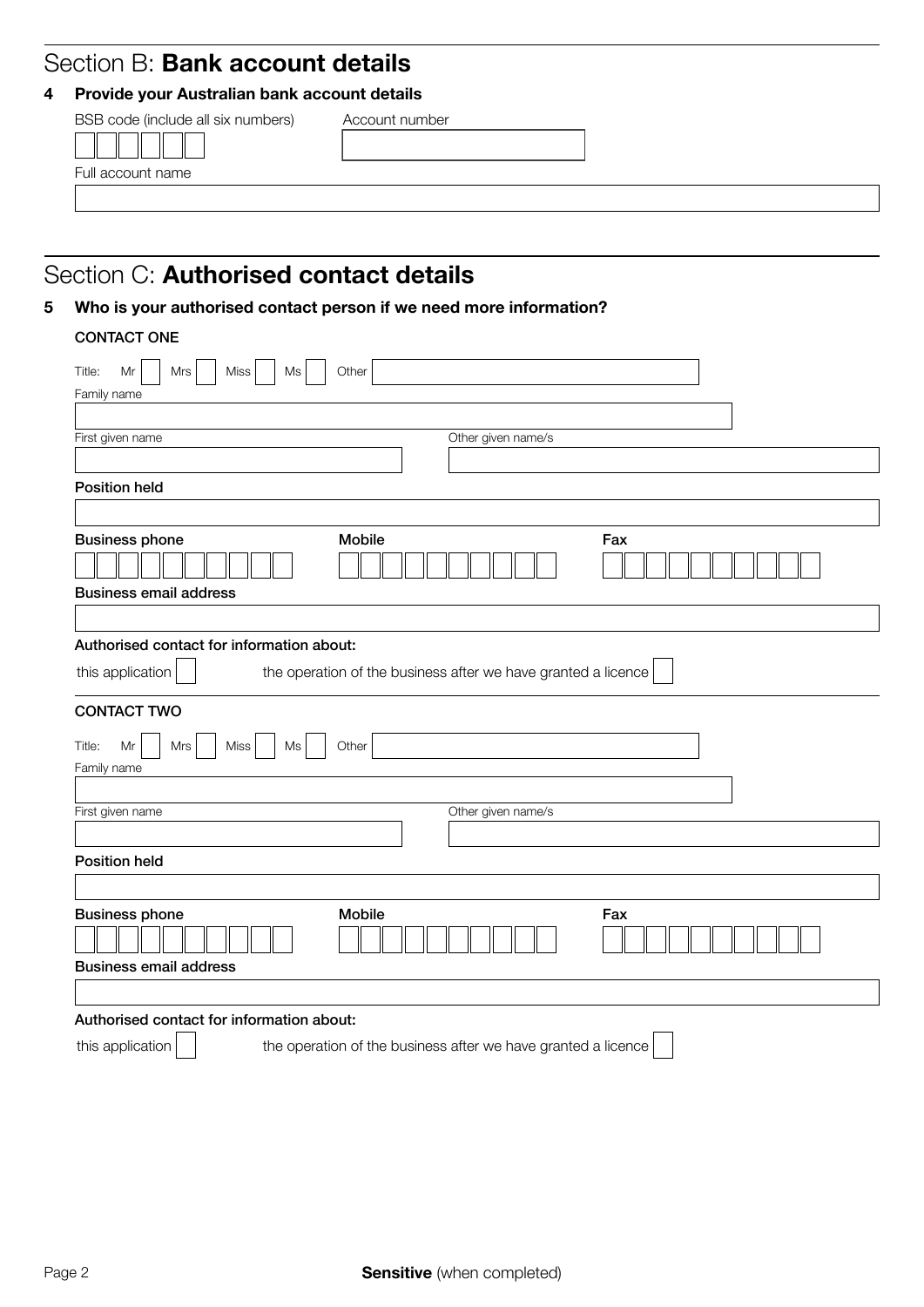## Section B: Bank account details

## 4 Provide your Australian bank account details

| BSB code (include all six numbers) | Account number |  |
|------------------------------------|----------------|--|
|                                    |                |  |
| Full account name                  |                |  |
|                                    |                |  |

# Section C: Authorised contact details

## 5 Who is your authorised contact person if we need more information?

## CONTACT ONE

| Other<br>Mr<br>Miss<br>Title:<br>Mrs<br>Ms                                        |  |
|-----------------------------------------------------------------------------------|--|
| Family name                                                                       |  |
|                                                                                   |  |
| Other given name/s<br>First given name                                            |  |
|                                                                                   |  |
| <b>Position held</b>                                                              |  |
|                                                                                   |  |
| Mobile<br><b>Business phone</b><br>Fax<br><b>Business email address</b>           |  |
|                                                                                   |  |
| Authorised contact for information about:                                         |  |
| this application<br>the operation of the business after we have granted a licence |  |
| <b>CONTACT TWO</b>                                                                |  |
| Miss<br>Other<br>Title:<br>Mr<br>Mrs<br>Ms<br>Family name                         |  |
|                                                                                   |  |
| Other given name/s<br>First given name                                            |  |
|                                                                                   |  |
| <b>Position held</b>                                                              |  |
|                                                                                   |  |
| <b>Mobile</b><br>Fax<br><b>Business phone</b>                                     |  |
| <b>Business email address</b>                                                     |  |
|                                                                                   |  |
| Authorised contact for information about:                                         |  |
| this application<br>the operation of the business after we have granted a licence |  |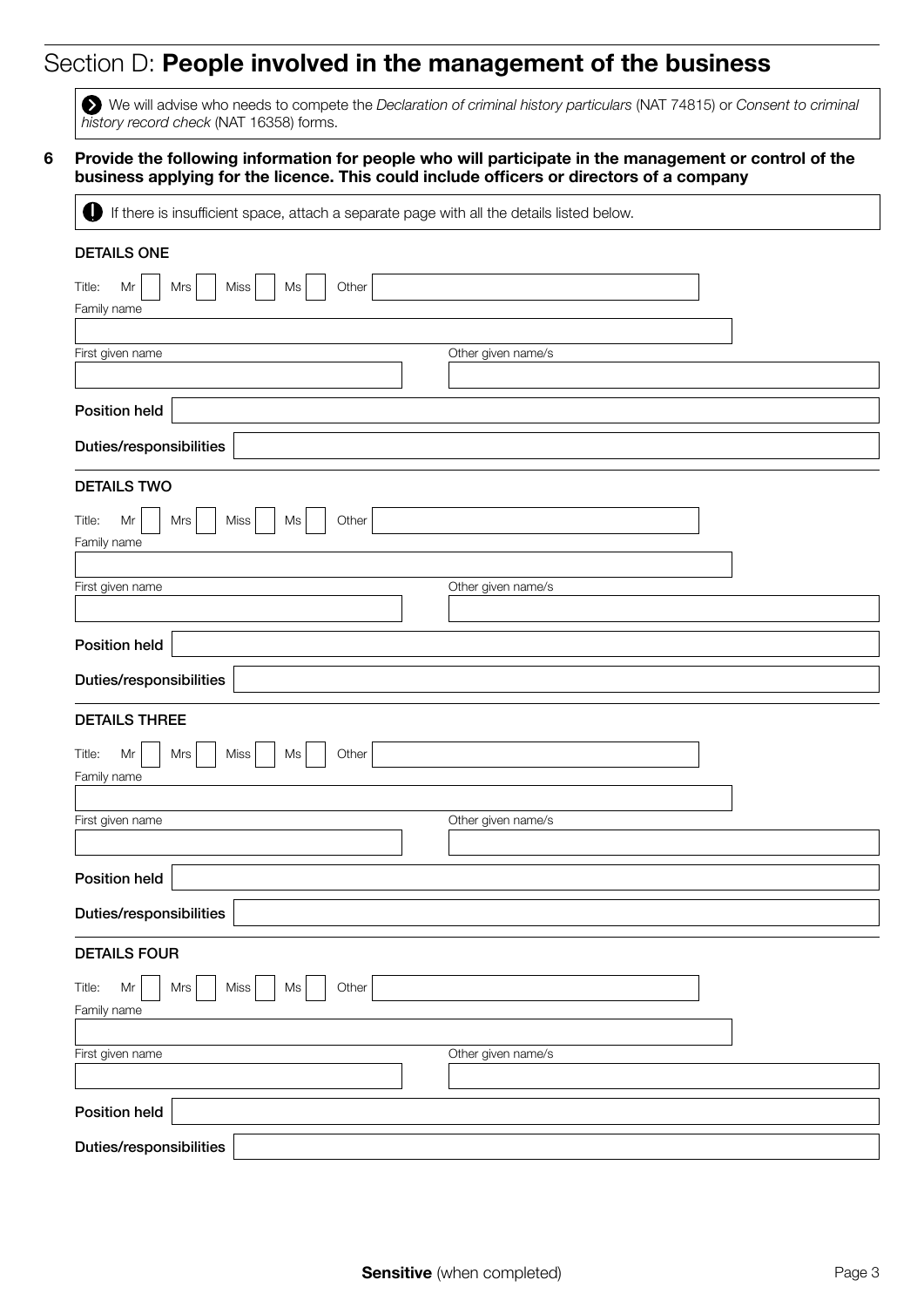# Section D: People involved in the management of the business

We will advise who needs to compete the *Declaration of criminal history particulars* (NAT 74815) or *Consent to criminal history record check* (NAT 16358) forms.

#### 6 Provide the following information for people who will participate in the management or control of the business applying for the licence. This could include officers or directors of a company

If there is insufficient space, attach a separate page with all the details listed below.

| <b>DETAILS ONE</b>                                        |                    |  |  |  |
|-----------------------------------------------------------|--------------------|--|--|--|
| Other<br>Miss<br>Title:<br>Mr<br>Mrs<br>Ms                |                    |  |  |  |
| Family name                                               |                    |  |  |  |
| First given name                                          | Other given name/s |  |  |  |
|                                                           |                    |  |  |  |
| <b>Position held</b>                                      |                    |  |  |  |
| Duties/responsibilities                                   |                    |  |  |  |
| <b>DETAILS TWO</b>                                        |                    |  |  |  |
| Miss<br>Other<br>Title:<br>Mrs<br>Ms<br>Mr<br>Family name |                    |  |  |  |
|                                                           |                    |  |  |  |
| First given name                                          | Other given name/s |  |  |  |
|                                                           |                    |  |  |  |
| <b>Position held</b>                                      |                    |  |  |  |
| Duties/responsibilities                                   |                    |  |  |  |
| <b>DETAILS THREE</b>                                      |                    |  |  |  |
| Miss<br>Other<br>Title:<br>Mr<br>Mrs<br>Ms<br>Family name |                    |  |  |  |
|                                                           |                    |  |  |  |
| First given name                                          | Other given name/s |  |  |  |
| Position held                                             |                    |  |  |  |
| Duties/responsibilities                                   |                    |  |  |  |
| <b>DETAILS FOUR</b>                                       |                    |  |  |  |
| Other<br>Title:<br>Miss<br>Mr<br>Mrs<br>Ms<br>Family name |                    |  |  |  |
|                                                           |                    |  |  |  |
| First given name                                          | Other given name/s |  |  |  |
|                                                           |                    |  |  |  |
| Position held                                             |                    |  |  |  |
| Duties/responsibilities                                   |                    |  |  |  |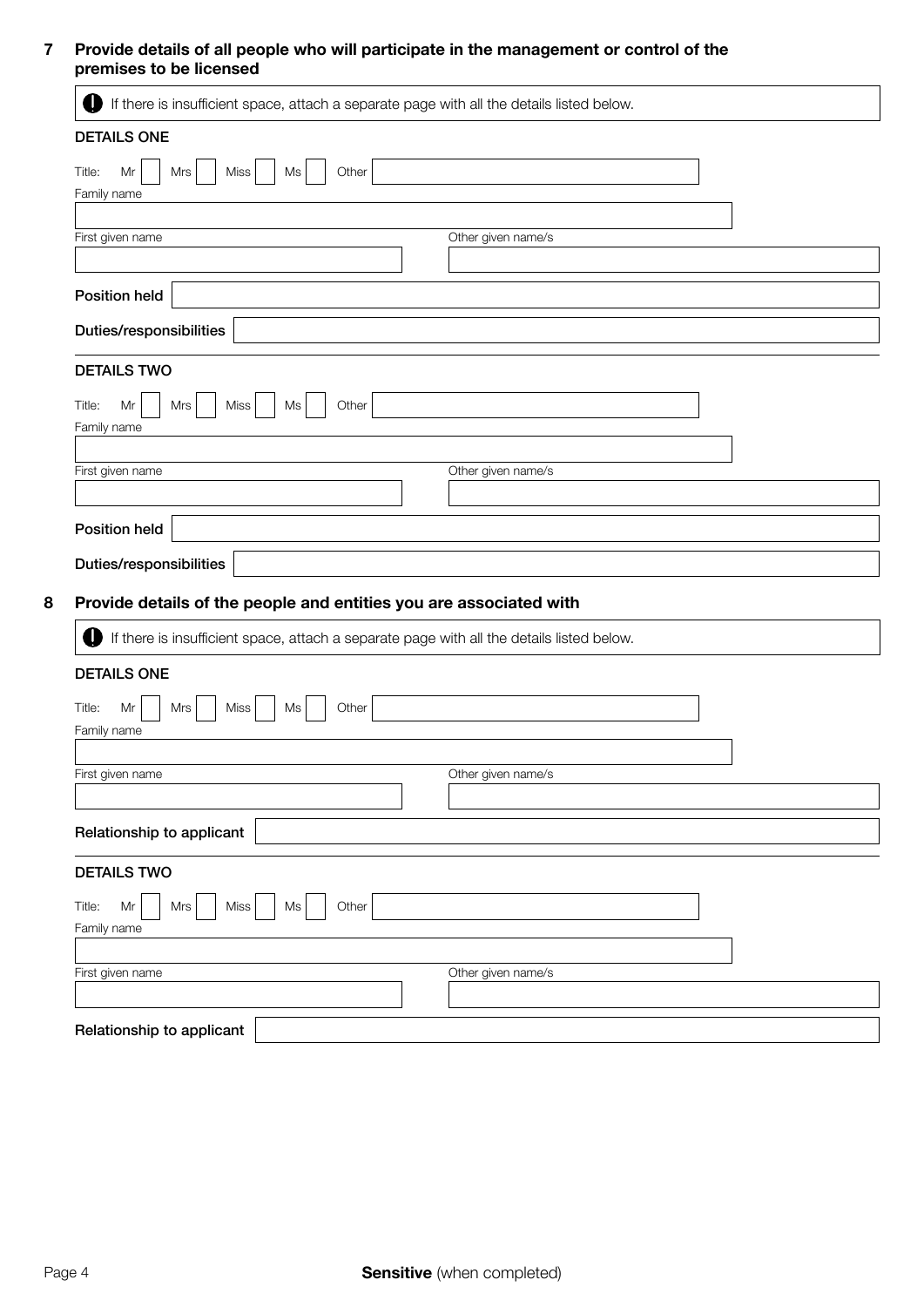### 7 Provide details of all people who will participate in the management or control of the premises to be licensed

| O<br>If there is insufficient space, attach a separate page with all the details listed below. |                    |
|------------------------------------------------------------------------------------------------|--------------------|
| <b>DETAILS ONE</b>                                                                             |                    |
| Title:<br>Mr<br>Miss<br>Ms<br>Other<br>Mrs                                                     |                    |
| Family name                                                                                    |                    |
| First given name                                                                               | Other given name/s |
|                                                                                                |                    |
| Position held                                                                                  |                    |
| Duties/responsibilities                                                                        |                    |
| <b>DETAILS TWO</b>                                                                             |                    |
| Other<br>Title:<br>Mr<br>Mrs<br>Miss<br>Ms                                                     |                    |
| Family name                                                                                    |                    |
|                                                                                                |                    |
| First given name                                                                               | Other given name/s |
|                                                                                                |                    |
| Position held                                                                                  |                    |
| Duties/responsibilities                                                                        |                    |
| Provide details of the people and entities you are associated with                             |                    |
| If there is insufficient space, attach a separate page with all the details listed below.<br>D |                    |
|                                                                                                |                    |
| <b>DETAILS ONE</b>                                                                             |                    |
| Other<br>Title:<br>$\sf Mr$<br>Mrs<br>Miss<br>Ms                                               |                    |
| Family name                                                                                    |                    |
| First given name                                                                               | Other given name/s |
|                                                                                                |                    |
| Relationship to applicant                                                                      |                    |
| <b>DETAILS TWO</b>                                                                             |                    |
| Other<br>Title:<br>Mr<br>Mrs<br>Miss<br>Ms                                                     |                    |
| Family name                                                                                    |                    |
|                                                                                                |                    |
| First given name                                                                               | Other given name/s |
|                                                                                                |                    |
| Relationship to applicant                                                                      |                    |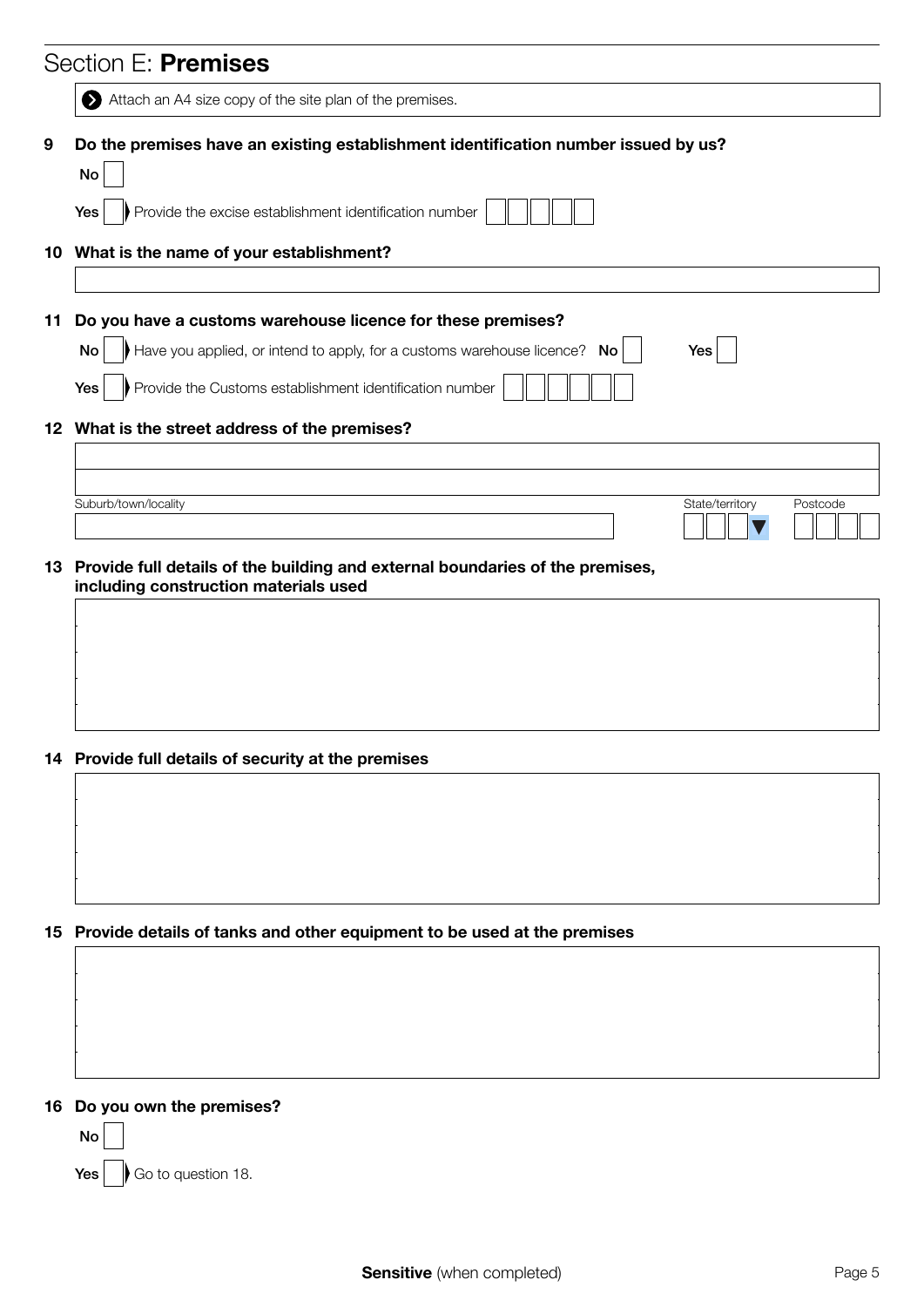|                 | Section E: Premises                                                                                                    |
|-----------------|------------------------------------------------------------------------------------------------------------------------|
|                 | Attach an A4 size copy of the site plan of the premises.                                                               |
| 9               | Do the premises have an existing establishment identification number issued by us?<br>No                               |
|                 | Provide the excise establishment identification number<br>Yes                                                          |
|                 | 10 What is the name of your establishment?                                                                             |
|                 |                                                                                                                        |
| 11              | Do you have a customs warehouse licence for these premises?                                                            |
|                 | Have you applied, or intend to apply, for a customs warehouse licence?<br>No<br>Yes<br>No                              |
|                 | Provide the Customs establishment identification number<br>Yes                                                         |
|                 | 12 What is the street address of the premises?                                                                         |
|                 |                                                                                                                        |
|                 | Suburb/town/locality<br>State/territory<br>Postcode                                                                    |
|                 |                                                                                                                        |
| 13 <sup>°</sup> | Provide full details of the building and external boundaries of the premises,<br>including construction materials used |
|                 |                                                                                                                        |
|                 |                                                                                                                        |
|                 |                                                                                                                        |
|                 |                                                                                                                        |
|                 | 14 Provide full details of security at the premises                                                                    |
|                 |                                                                                                                        |
|                 |                                                                                                                        |
|                 |                                                                                                                        |
|                 |                                                                                                                        |
| 15              | Provide details of tanks and other equipment to be used at the premises                                                |
|                 |                                                                                                                        |
|                 |                                                                                                                        |
|                 |                                                                                                                        |
|                 |                                                                                                                        |
| 16              | Do you own the premises?<br>No                                                                                         |
|                 | Go to question 18.<br>Yes                                                                                              |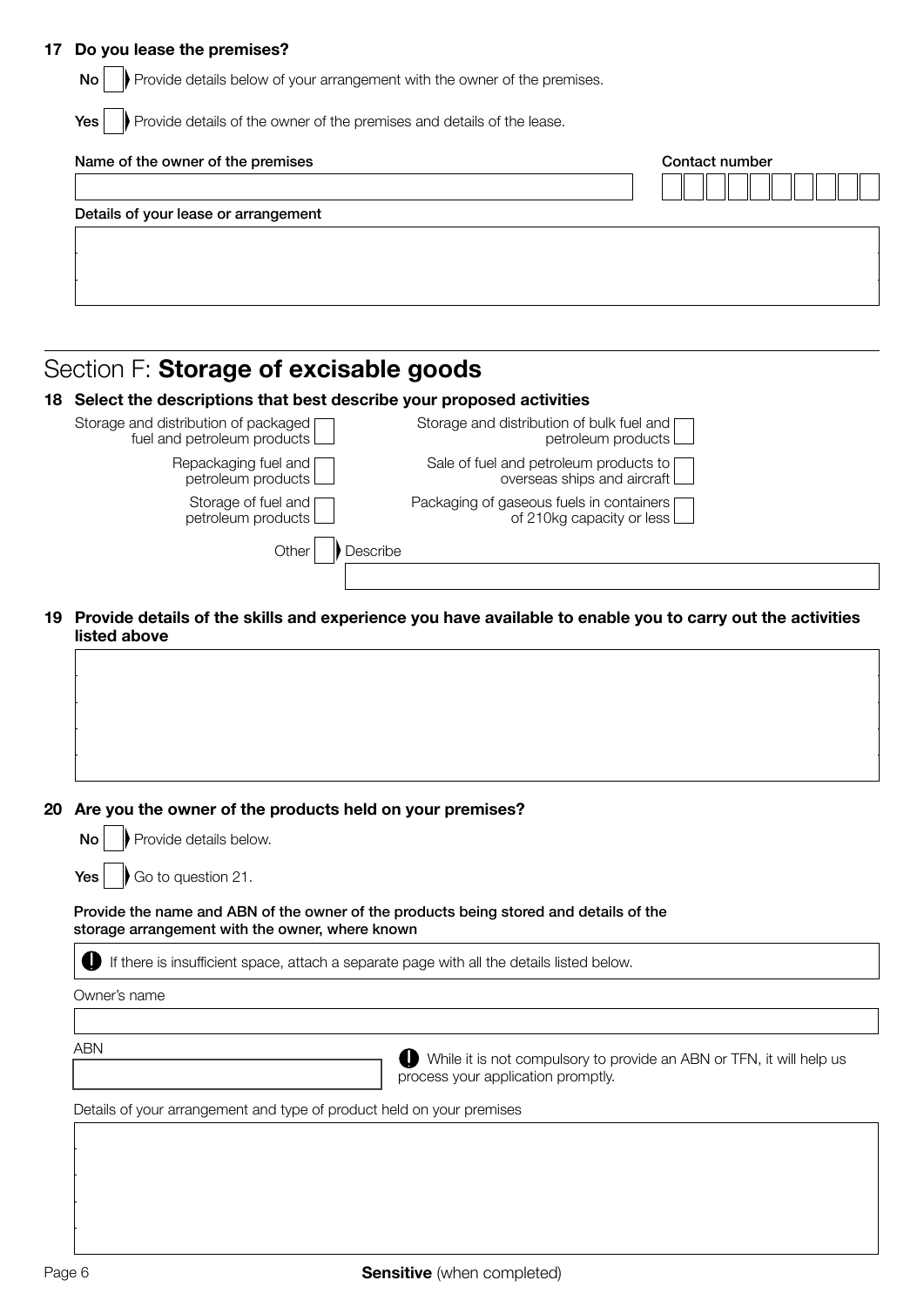#### 17 Do you lease the premises?

| Provide details below of your arrangement with the owner of the premises.<br>No |                |
|---------------------------------------------------------------------------------|----------------|
| Provide details of the owner of the premises and details of the lease.<br>Yes   |                |
| Name of the owner of the premises                                               | Contact number |
| Details of your lease or arrangement                                            |                |
|                                                                                 |                |
|                                                                                 |                |

# Section F: Storage of excisable goods

## 18 Select the descriptions that best describe your proposed activities

| Storage and distribution of packaged [<br>fuel and petroleum products | Storage and distribution of bulk fuel and [<br>petroleum products $\Box$       |  |
|-----------------------------------------------------------------------|--------------------------------------------------------------------------------|--|
| Repackaging fuel and [<br>petroleum products                          | Sale of fuel and petroleum products to [<br>overseas ships and aircraft        |  |
| Storage of fuel and $\Box$<br>petroleum products                      | Packaging of gaseous fuels in containers [<br>of 210kg capacity or less $\Box$ |  |
| Other<br>Describe                                                     |                                                                                |  |
|                                                                       |                                                                                |  |

19 Provide details of the skills and experience you have available to enable you to carry out the activities listed above

## 20 Are you the owner of the products held on your premises?

|  |  | $\mathsf{No} \left  \begin{array}{c} \end{array} \right $ Provide details below. |  |
|--|--|----------------------------------------------------------------------------------|--|
|--|--|----------------------------------------------------------------------------------|--|

**Yes**  $\bigcup$  Go to question 21.

#### Provide the name and ABN of the owner of the products being stored and details of the storage arrangement with the owner, where known

If there is insufficient space, attach a separate page with all the details listed below.

Owner's name

ABN

While it is not compulsory to provide an ABN or TFN, it will help us process your application promptly.

Details of your arrangement and type of product held on your premises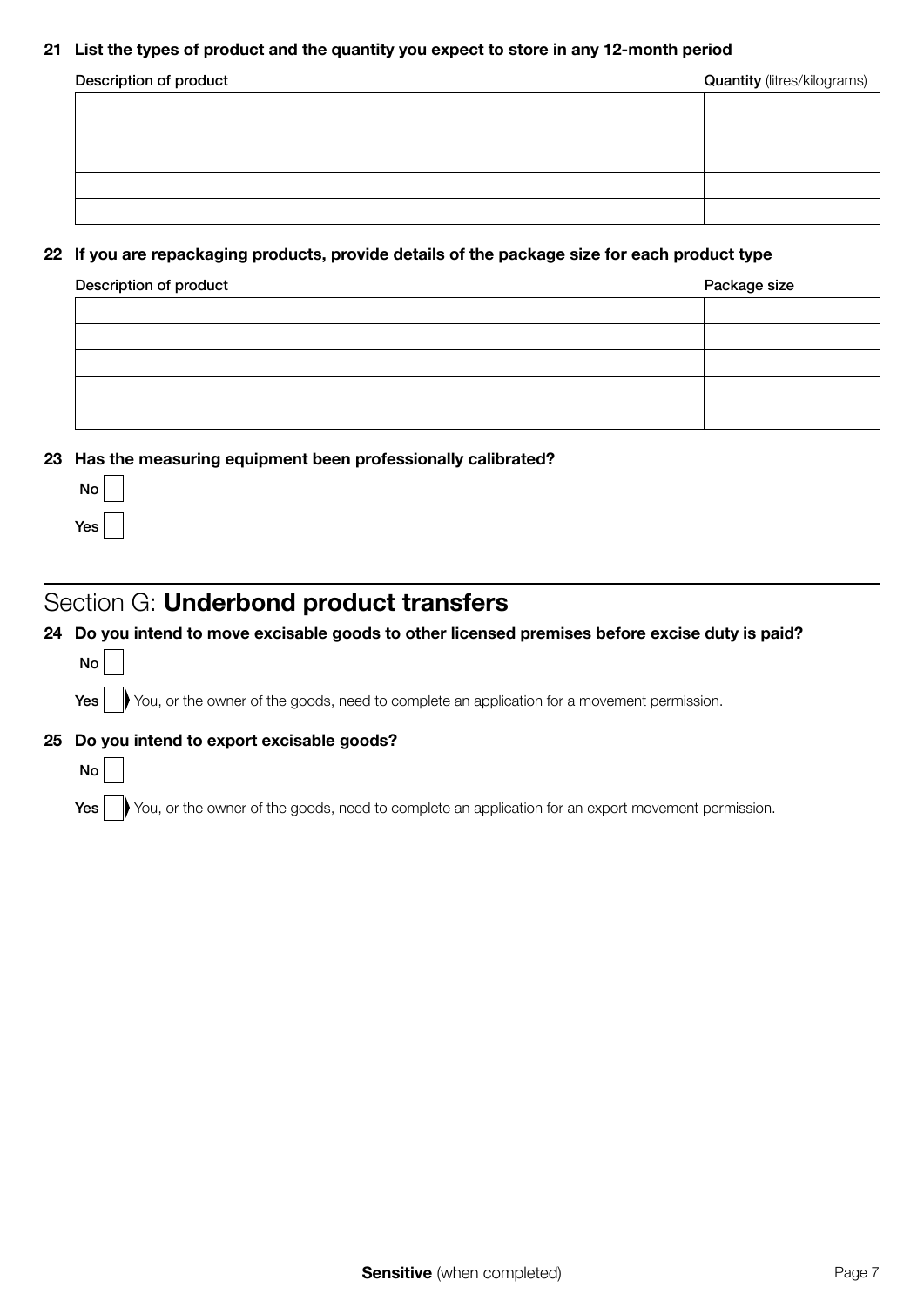### 21 List the types of product and the quantity you expect to store in any 12-month period

| Description of product | <b>Quantity</b> (litres/kilograms) |  |
|------------------------|------------------------------------|--|
|                        |                                    |  |
|                        |                                    |  |
|                        |                                    |  |
|                        |                                    |  |
|                        |                                    |  |

### 22 If you are repackaging products, provide details of the package size for each product type

| Description of product | Package size |  |
|------------------------|--------------|--|
|                        |              |  |
|                        |              |  |
|                        |              |  |
|                        |              |  |
|                        |              |  |

### 23 Has the measuring equipment been professionally calibrated?

| N٥  |  |
|-----|--|
| Yes |  |

## Section G: Underbond product transfers

### 24 Do you intend to move excisable goods to other licensed premises before excise duty is paid?

| ۰, |  |
|----|--|
|    |  |

No

Yes wou, or the owner of the goods, need to complete an application for a movement permission.

## 25 Do you intend to export excisable goods?

Yes wou, or the owner of the goods, need to complete an application for an export movement permission.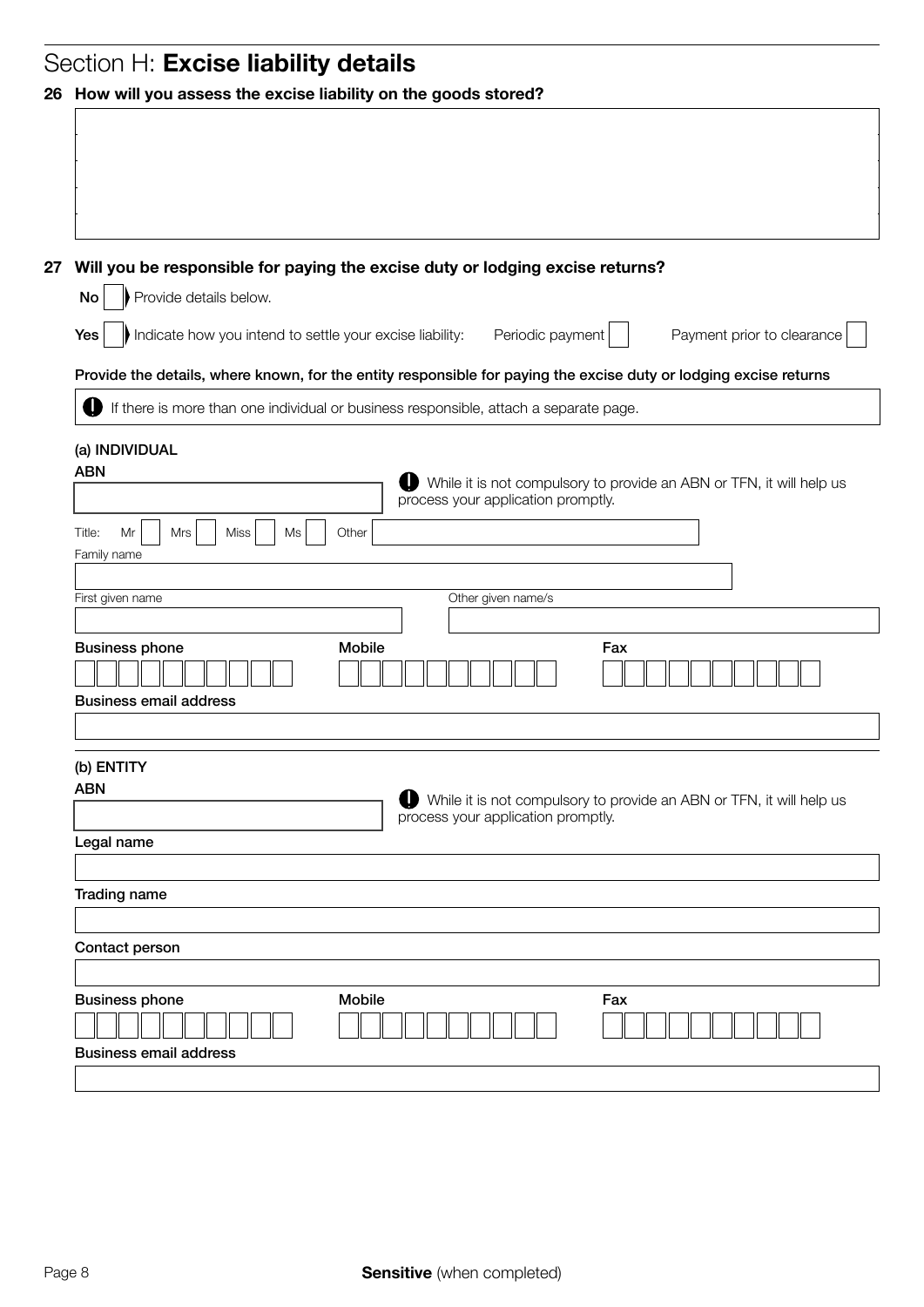|    | Section H: Excise liability details                                                                               |  |  |  |
|----|-------------------------------------------------------------------------------------------------------------------|--|--|--|
|    | 26 How will you assess the excise liability on the goods stored?                                                  |  |  |  |
|    |                                                                                                                   |  |  |  |
|    |                                                                                                                   |  |  |  |
|    |                                                                                                                   |  |  |  |
|    |                                                                                                                   |  |  |  |
|    |                                                                                                                   |  |  |  |
| 27 | Will you be responsible for paying the excise duty or lodging excise returns?<br>Provide details below.<br>No     |  |  |  |
|    |                                                                                                                   |  |  |  |
|    | Indicate how you intend to settle your excise liability:<br>Periodic payment<br>Payment prior to clearance<br>Yes |  |  |  |
|    | Provide the details, where known, for the entity responsible for paying the excise duty or lodging excise returns |  |  |  |
|    | If there is more than one individual or business responsible, attach a separate page.                             |  |  |  |
|    |                                                                                                                   |  |  |  |
|    | (a) INDIVIDUAL<br><b>ABN</b>                                                                                      |  |  |  |
|    | While it is not compulsory to provide an ABN or TFN, it will help us<br>process your application promptly.        |  |  |  |
|    |                                                                                                                   |  |  |  |
|    | Miss<br>Title:<br>Mr<br>Mrs<br>Ms<br>Other<br>Family name                                                         |  |  |  |
|    |                                                                                                                   |  |  |  |
|    | Other given name/s<br>First given name                                                                            |  |  |  |
|    | <b>Business phone</b><br><b>Mobile</b><br>Fax                                                                     |  |  |  |
|    |                                                                                                                   |  |  |  |
|    | <b>Business email address</b>                                                                                     |  |  |  |
|    |                                                                                                                   |  |  |  |
|    |                                                                                                                   |  |  |  |
|    | (b) ENTITY<br><b>ABN</b>                                                                                          |  |  |  |
|    | While it is not compulsory to provide an ABN or TFN, it will help us<br>process your application promptly.        |  |  |  |
|    | Legal name                                                                                                        |  |  |  |
|    |                                                                                                                   |  |  |  |
|    | Trading name                                                                                                      |  |  |  |
|    |                                                                                                                   |  |  |  |
|    | Contact person                                                                                                    |  |  |  |
|    |                                                                                                                   |  |  |  |
|    | Mobile<br><b>Business phone</b><br>Fax                                                                            |  |  |  |
|    | <b>Business email address</b>                                                                                     |  |  |  |
|    |                                                                                                                   |  |  |  |
|    |                                                                                                                   |  |  |  |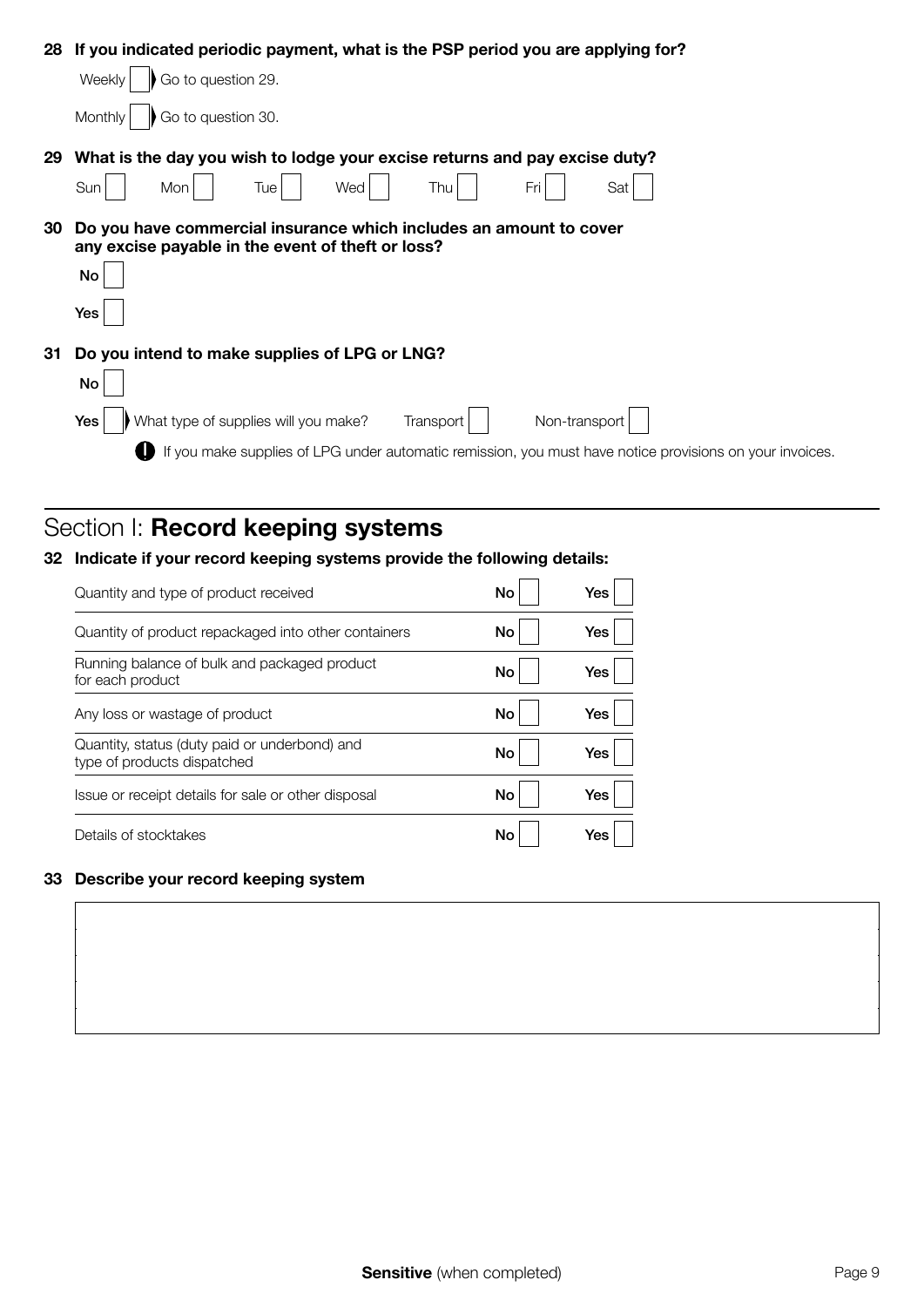|    | 28 If you indicated periodic payment, what is the PSP period you are applying for?                                      |  |  |  |  |
|----|-------------------------------------------------------------------------------------------------------------------------|--|--|--|--|
|    | Go to question 29.<br>Weekly                                                                                            |  |  |  |  |
|    | Go to question 30.<br>Monthly                                                                                           |  |  |  |  |
| 29 | What is the day you wish to lodge your excise returns and pay excise duty?                                              |  |  |  |  |
|    | Thu<br>Sun<br>Wed<br>Fri<br>Sat<br>Mon<br>Tue l                                                                         |  |  |  |  |
| 30 | Do you have commercial insurance which includes an amount to cover<br>any excise payable in the event of theft or loss? |  |  |  |  |
|    | No                                                                                                                      |  |  |  |  |
|    | Yes                                                                                                                     |  |  |  |  |
| 31 | Do you intend to make supplies of LPG or LNG?                                                                           |  |  |  |  |
|    | No                                                                                                                      |  |  |  |  |
|    | What type of supplies will you make?<br>Non-transport<br>Yes<br>Transport                                               |  |  |  |  |
|    | If you make supplies of LPG under automatic remission, you must have notice provisions on your invoices.                |  |  |  |  |

# Section I: Record keeping systems

## 32 Indicate if your record keeping systems provide the following details:

| Quantity and type of product received                                        | No | Yes |
|------------------------------------------------------------------------------|----|-----|
| Quantity of product repackaged into other containers                         | No | Yes |
| Running balance of bulk and packaged product<br>for each product             | No | Yes |
| Any loss or wastage of product                                               | No | Yes |
| Quantity, status (duty paid or underbond) and<br>type of products dispatched | No | Yes |
| Issue or receipt details for sale or other disposal                          | No | Yes |
| Details of stocktakes                                                        | No | Yes |

## 33 Describe your record keeping system